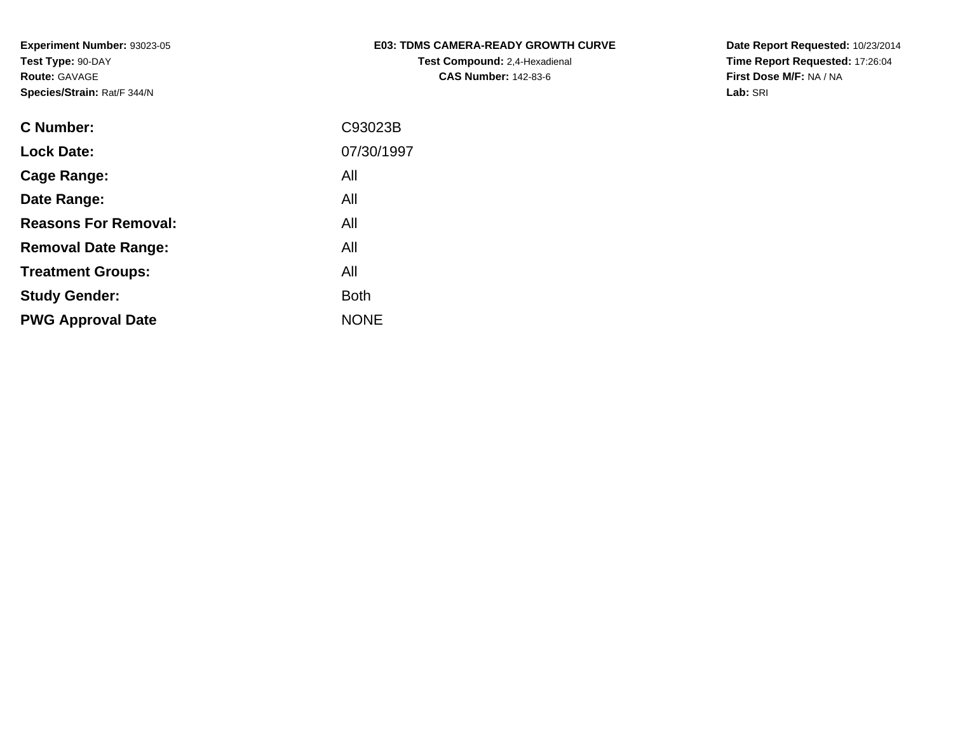## **E03: TDMS CAMERA-READY GROWTH CURVETest Compound:** 2,4-Hexadienal **CAS Number:** 142-83-6

**Date Report Requested:** 10/23/2014 **Time Report Requested:** 17:26:04**First Dose M/F:** NA / NA**Lab:** SRI

| <b>C Number:</b>            | C93023B     |
|-----------------------------|-------------|
| <b>Lock Date:</b>           | 07/30/1997  |
| <b>Cage Range:</b>          | All         |
| Date Range:                 | All         |
| <b>Reasons For Removal:</b> | All         |
| <b>Removal Date Range:</b>  | All         |
| <b>Treatment Groups:</b>    | All         |
| <b>Study Gender:</b>        | <b>Both</b> |
| <b>PWG Approval Date</b>    | <b>NONE</b> |
|                             |             |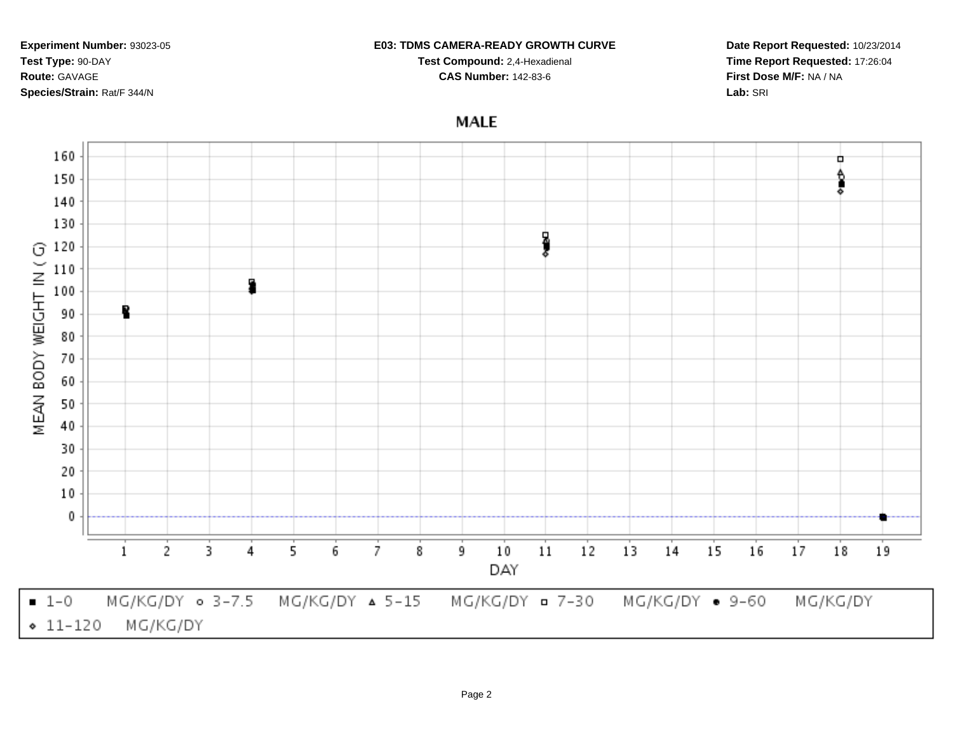**Species/Strain:** Rat/F 344/N**MALE** 160 ٠ ₿ 150 ā 140 130 ł 120 G MEAN BODY WEIGHT IN ( 110 100 90 80 70 60 50 40 30 20  $10$ 0

 $-1-0$ MG/KG/DY 0 3-7.5 MG/KG/DY ¤ 7-30  $MG/KG/DY$   $\triangle$  5-15 MG/KG/DY • 9-60 MG/KG/DY  $• 11 - 120$ MG/KG/DY

9

 $10$ 

DAY

 $11$ 

 $12$ 

 $13$ 

 $14$ 

 $15$ 

 $16$ 

 $17$ 

18

19

#### **E03: TDMS CAMERA-READY GROWTH CURVE**

**Test Compound:** 2,4-Hexadienal **CAS Number:** 142-83-6

**Experiment Number:** 93023-05

2

1

3

4

5

6

7

8

**Test Type:** 90-DAY**Route:** GAVAGE

## **Date Report Requested:** 10/23/2014**Time Report Requested:** 17:26:04**First Dose M/F:** NA / NA**Lab:** SRI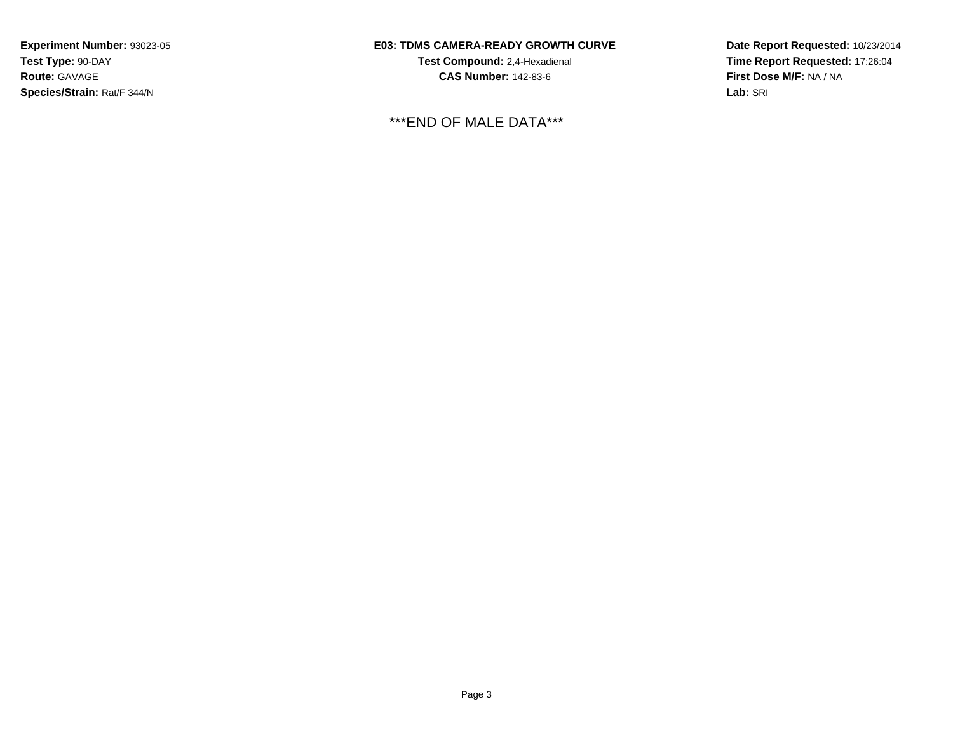# **E03: TDMS CAMERA-READY GROWTH CURVE**

**Test Compound:** 2,4-Hexadienal **CAS Number:** 142-83-6

\*\*\*END OF MALE DATA\*\*\*

**Date Report Requested:** 10/23/2014**Time Report Requested:** 17:26:04**First Dose M/F:** NA / NA**Lab:** SRI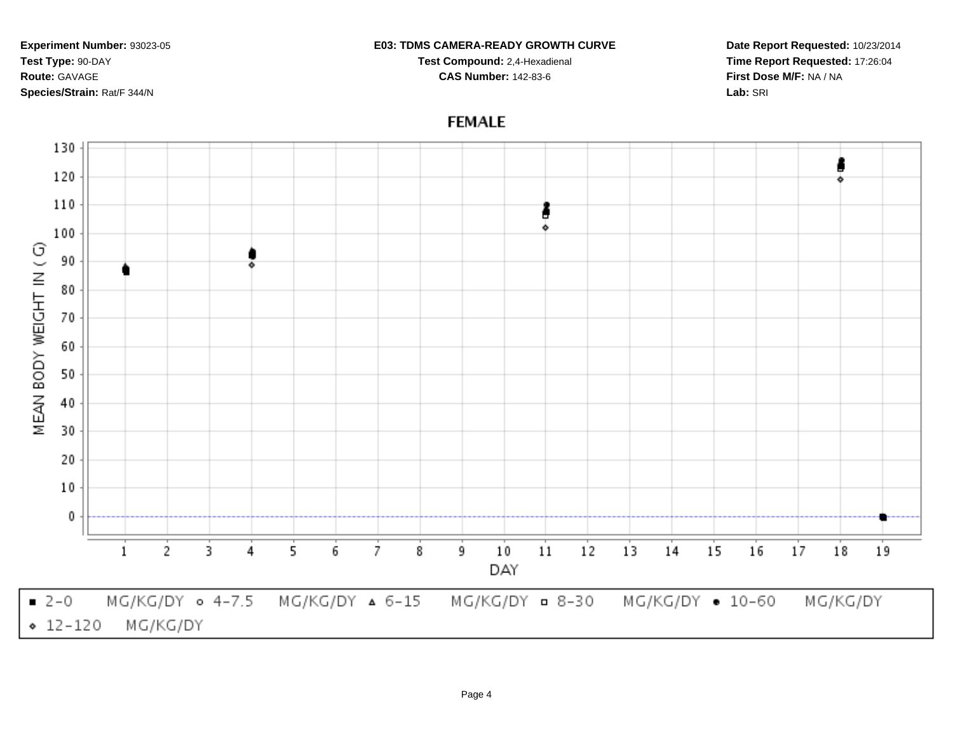#### **E03: TDMS CAMERA-READY GROWTH CURVE**

**Test Compound:** 2,4-Hexadienal **CAS Number:** 142-83-6

**Date Report Requested:** 10/23/2014**Time Report Requested:** 17:26:04**First Dose M/F:** NA / NA**Lab:** SRI

# **FEMALE**